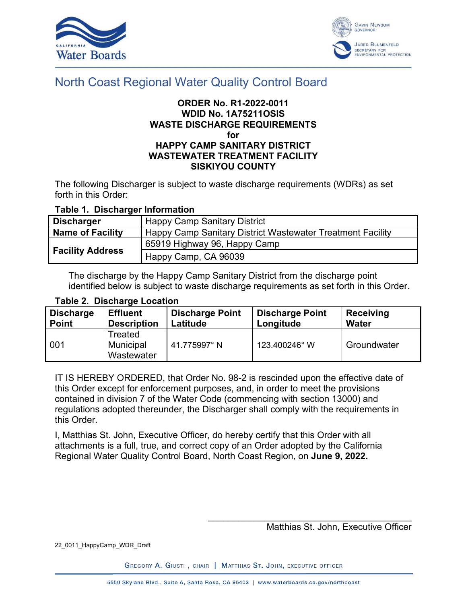



# North Coast Regional Water Quality Control Board

## **ORDER No. R1-2022-0011 WDID No. 1A75211OSIS WASTE DISCHARGE REQUIREMENTS for HAPPY CAMP SANITARY DISTRICT WASTEWATER TREATMENT FACILITY SISKIYOU COUNTY**

The following Discharger is subject to waste discharge requirements (WDRs) as set forth in this Order:

## **Table 1. Discharger Information**

| <b>Discharger</b>       | Happy Camp Sanitary District                               |
|-------------------------|------------------------------------------------------------|
| <b>Name of Facility</b> | Happy Camp Sanitary District Wastewater Treatment Facility |
|                         | 65919 Highway 96, Happy Camp                               |
| <b>Facility Address</b> | Happy Camp, CA 96039                                       |

The discharge by the Happy Camp Sanitary District from the discharge point identified below is subject to waste discharge requirements as set forth in this Order.

#### **Table 2. Discharge Location**

| <b>Discharge</b> | <b>Effluent</b>                    | <b>Discharge Point</b> | <b>Discharge Point</b> | Receiving    |
|------------------|------------------------------------|------------------------|------------------------|--------------|
| <b>Point</b>     | <b>Description</b>                 | Latitude               | Longitude              | <b>Water</b> |
| 001              | Treated<br>Municipal<br>Wastewater | 41.775997°N            | 123.400246° W          | Groundwater  |

IT IS HEREBY ORDERED, that Order No. 98-2 is rescinded upon the effective date of this Order except for enforcement purposes, and, in order to meet the provisions contained in division 7 of the Water Code (commencing with section 13000) and regulations adopted thereunder, the Discharger shall comply with the requirements in this Order.

I, Matthias St. John, Executive Officer, do hereby certify that this Order with all attachments is a full, true, and correct copy of an Order adopted by the California Regional Water Quality Control Board, North Coast Region, on **June 9, 2022.**

#### Matthias St. John, Executive Officer

\_\_\_\_\_\_\_\_\_\_\_\_\_\_\_\_\_\_\_\_\_\_\_\_\_\_\_\_\_\_\_\_\_\_\_\_\_\_\_\_

22\_0011\_HappyCamp\_WDR\_Draft

GREGORY A. GIUSTI, CHAIR | MATTHIAS ST. JOHN, EXECUTIVE OFFICER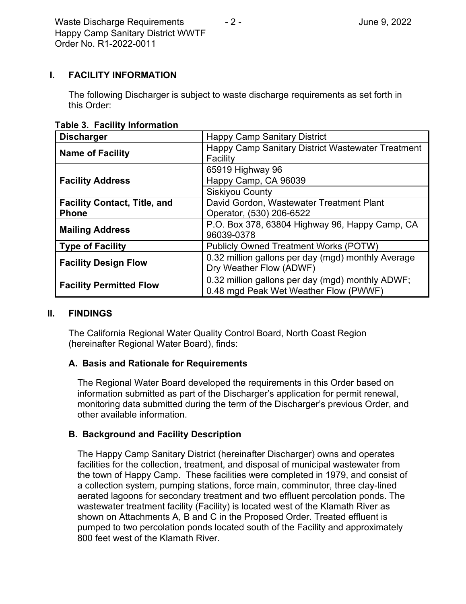## **I. FACILITY INFORMATION**

The following Discharger is subject to waste discharge requirements as set forth in this Order:

| <b>Table 3. Facility Information</b> |
|--------------------------------------|
|--------------------------------------|

| <b>Discharger</b>                   | <b>Happy Camp Sanitary District</b>                                                       |  |
|-------------------------------------|-------------------------------------------------------------------------------------------|--|
| <b>Name of Facility</b>             | Happy Camp Sanitary District Wastewater Treatment<br>Facility                             |  |
|                                     | 65919 Highway 96                                                                          |  |
| <b>Facility Address</b>             | Happy Camp, CA 96039                                                                      |  |
|                                     | <b>Siskiyou County</b>                                                                    |  |
| <b>Facility Contact, Title, and</b> | David Gordon, Wastewater Treatment Plant                                                  |  |
| <b>Phone</b>                        | Operator, (530) 206-6522                                                                  |  |
| <b>Mailing Address</b>              | P.O. Box 378, 63804 Highway 96, Happy Camp, CA<br>96039-0378                              |  |
| <b>Type of Facility</b>             | <b>Publicly Owned Treatment Works (POTW)</b>                                              |  |
| <b>Facility Design Flow</b>         | 0.32 million gallons per day (mgd) monthly Average<br>Dry Weather Flow (ADWF)             |  |
| <b>Facility Permitted Flow</b>      | 0.32 million gallons per day (mgd) monthly ADWF;<br>0.48 mgd Peak Wet Weather Flow (PWWF) |  |

## **II. FINDINGS**

The California Regional Water Quality Control Board, North Coast Region (hereinafter Regional Water Board), finds:

## **A. Basis and Rationale for Requirements**

The Regional Water Board developed the requirements in this Order based on information submitted as part of the Discharger's application for permit renewal, monitoring data submitted during the term of the Discharger's previous Order, and other available information.

## **B. Background and Facility Description**

The Happy Camp Sanitary District (hereinafter Discharger) owns and operates facilities for the collection, treatment, and disposal of municipal wastewater from the town of Happy Camp. These facilities were completed in 1979, and consist of a collection system, pumping stations, force main, comminutor, three clay-lined aerated lagoons for secondary treatment and two effluent percolation ponds. The wastewater treatment facility (Facility) is located west of the Klamath River as shown on Attachments A, B and C in the Proposed Order. Treated effluent is pumped to two percolation ponds located south of the Facility and approximately 800 feet west of the Klamath River.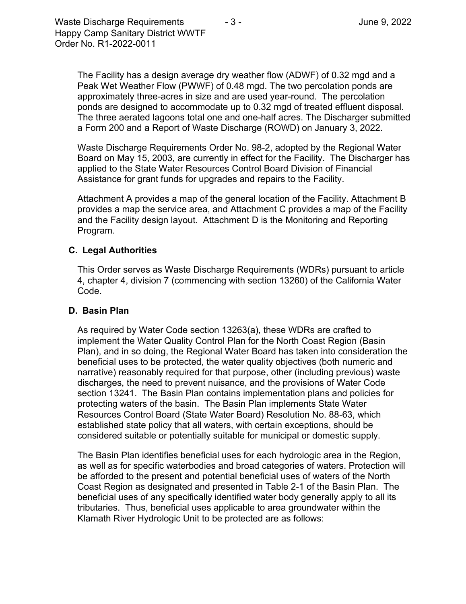The Facility has a design average dry weather flow (ADWF) of 0.32 mgd and a Peak Wet Weather Flow (PWWF) of 0.48 mgd. The two percolation ponds are approximately three-acres in size and are used year-round. The percolation ponds are designed to accommodate up to 0.32 mgd of treated effluent disposal. The three aerated lagoons total one and one-half acres. The Discharger submitted a Form 200 and a Report of Waste Discharge (ROWD) on January 3, 2022.

Waste Discharge Requirements Order No. 98-2, adopted by the Regional Water Board on May 15, 2003, are currently in effect for the Facility. The Discharger has applied to the State Water Resources Control Board Division of Financial Assistance for grant funds for upgrades and repairs to the Facility.

Attachment A provides a map of the general location of the Facility. Attachment B provides a map the service area, and Attachment C provides a map of the Facility and the Facility design layout. Attachment D is the Monitoring and Reporting Program.

#### **C. Legal Authorities**

This Order serves as Waste Discharge Requirements (WDRs) pursuant to article 4, chapter 4, division 7 (commencing with section 13260) of the California Water Code.

#### **D. Basin Plan**

As required by Water Code section 13263(a), these WDRs are crafted to implement the Water Quality Control Plan for the North Coast Region (Basin Plan), and in so doing, the Regional Water Board has taken into consideration the beneficial uses to be protected, the water quality objectives (both numeric and narrative) reasonably required for that purpose, other (including previous) waste discharges, the need to prevent nuisance, and the provisions of Water Code section 13241. The Basin Plan contains implementation plans and policies for protecting waters of the basin. The Basin Plan implements State Water Resources Control Board (State Water Board) Resolution No. 88-63, which established state policy that all waters, with certain exceptions, should be considered suitable or potentially suitable for municipal or domestic supply.

The Basin Plan identifies beneficial uses for each hydrologic area in the Region, as well as for specific waterbodies and broad categories of waters. Protection will be afforded to the present and potential beneficial uses of waters of the North Coast Region as designated and presented in Table 2-1 of the Basin Plan. The beneficial uses of any specifically identified water body generally apply to all its tributaries. Thus, beneficial uses applicable to area groundwater within the Klamath River Hydrologic Unit to be protected are as follows: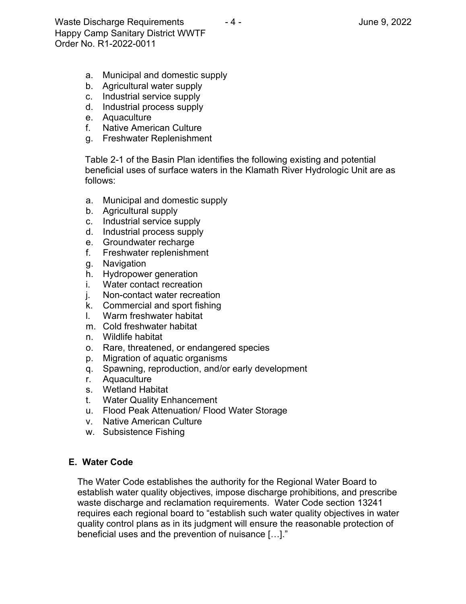Waste Discharge Requirements  $\begin{array}{ccc} -4 \\ -4 \\ -4 \end{array}$  - The S, 2022 Happy Camp Sanitary District WWTF Order No. R1-2022-0011

- a. Municipal and domestic supply
- b. Agricultural water supply
- c. Industrial service supply
- d. Industrial process supply
- e. Aquaculture
- f. Native American Culture
- g. Freshwater Replenishment

Table 2-1 of the Basin Plan identifies the following existing and potential beneficial uses of surface waters in the Klamath River Hydrologic Unit are as follows:

- a. Municipal and domestic supply
- b. Agricultural supply
- c. Industrial service supply
- d. Industrial process supply
- e. Groundwater recharge
- f. Freshwater replenishment
- g. Navigation
- h. Hydropower generation
- i. Water contact recreation
- j. Non-contact water recreation
- k. Commercial and sport fishing
- l. Warm freshwater habitat
- m. Cold freshwater habitat
- n. Wildlife habitat
- o. Rare, threatened, or endangered species
- p. Migration of aquatic organisms
- q. Spawning, reproduction, and/or early development
- r. Aquaculture
- s. Wetland Habitat
- t. Water Quality Enhancement
- u. Flood Peak Attenuation/ Flood Water Storage
- v. Native American Culture
- w. Subsistence Fishing

## **E. Water Code**

The Water Code establishes the authority for the Regional Water Board to establish water quality objectives, impose discharge prohibitions, and prescribe waste discharge and reclamation requirements. Water Code section 13241 requires each regional board to "establish such water quality objectives in water quality control plans as in its judgment will ensure the reasonable protection of beneficial uses and the prevention of nuisance […]."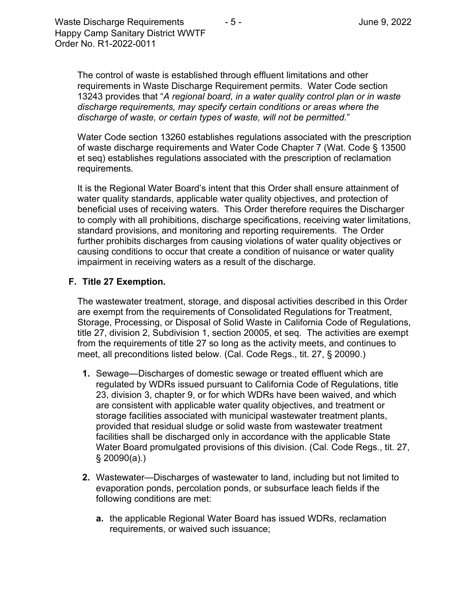The control of waste is established through effluent limitations and other requirements in Waste Discharge Requirement permits. Water Code section 13243 provides that "*A regional board, in a water quality control plan or in waste discharge requirements, may specify certain conditions or areas where the discharge of waste, or certain types of waste, will not be permitted.*"

Water Code section 13260 establishes regulations associated with the prescription of waste discharge requirements and Water Code Chapter 7 (Wat. Code § 13500 et seq) establishes regulations associated with the prescription of reclamation requirements.

It is the Regional Water Board's intent that this Order shall ensure attainment of water quality standards, applicable water quality objectives, and protection of beneficial uses of receiving waters. This Order therefore requires the Discharger to comply with all prohibitions, discharge specifications, receiving water limitations, standard provisions, and monitoring and reporting requirements. The Order further prohibits discharges from causing violations of water quality objectives or causing conditions to occur that create a condition of nuisance or water quality impairment in receiving waters as a result of the discharge.

## **F. Title 27 Exemption.**

The wastewater treatment, storage, and disposal activities described in this Order are exempt from the requirements of Consolidated Regulations for Treatment, Storage, Processing, or Disposal of Solid Waste in California Code of Regulations, title 27, division 2, Subdivision 1, section 20005, et seq. The activities are exempt from the requirements of title 27 so long as the activity meets, and continues to meet, all preconditions listed below. (Cal. Code Regs., tit. 27, § 20090.)

- **1.** Sewage—Discharges of domestic sewage or treated effluent which are regulated by WDRs issued pursuant to California Code of Regulations, title 23, division 3, chapter 9, or for which WDRs have been waived, and which are consistent with applicable water quality objectives, and treatment or storage facilities associated with municipal wastewater treatment plants, provided that residual sludge or solid waste from wastewater treatment facilities shall be discharged only in accordance with the applicable State Water Board promulgated provisions of this division. (Cal. Code Regs., tit. 27,  $§$  20090(a).)
- **2.** Wastewater—Discharges of wastewater to land, including but not limited to evaporation ponds, percolation ponds, or subsurface leach fields if the following conditions are met:
	- **a.** the applicable Regional Water Board has issued WDRs, reclamation requirements, or waived such issuance;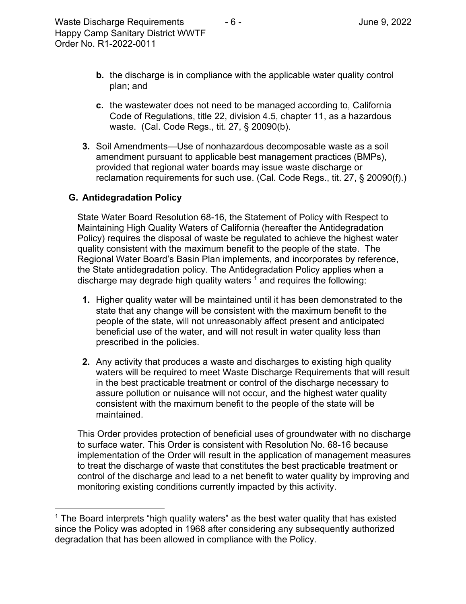- **b.** the discharge is in compliance with the applicable water quality control plan; and
- **c.** the wastewater does not need to be managed according to, California Code of Regulations, title 22, division 4.5, chapter 11, as a hazardous waste. (Cal. Code Regs., tit. 27, § 20090(b).
- **3.** Soil Amendments—Use of nonhazardous decomposable waste as a soil amendment pursuant to applicable best management practices (BMPs), provided that regional water boards may issue waste discharge or reclamation requirements for such use. (Cal. Code Regs., tit. 27, § 20090(f).)

## **G. Antidegradation Policy**

State Water Board Resolution 68-16, the Statement of Policy with Respect to Maintaining High Quality Waters of California (hereafter the Antidegradation Policy) requires the disposal of waste be regulated to achieve the highest water quality consistent with the maximum benefit to the people of the state. The Regional Water Board's Basin Plan implements, and incorporates by reference, the State antidegradation policy. The Antidegradation Policy applies when a discharge may degrade high quality waters  $\frac{1}{1}$  $\frac{1}{1}$  $\frac{1}{1}$  and requires the following:

- **1.** Higher quality water will be maintained until it has been demonstrated to the state that any change will be consistent with the maximum benefit to the people of the state, will not unreasonably affect present and anticipated beneficial use of the water, and will not result in water quality less than prescribed in the policies.
- **2.** Any activity that produces a waste and discharges to existing high quality waters will be required to meet Waste Discharge Requirements that will result in the best practicable treatment or control of the discharge necessary to assure pollution or nuisance will not occur, and the highest water quality consistent with the maximum benefit to the people of the state will be maintained.

This Order provides protection of beneficial uses of groundwater with no discharge to surface water. This Order is consistent with Resolution No. 68-16 because implementation of the Order will result in the application of management measures to treat the discharge of waste that constitutes the best practicable treatment or control of the discharge and lead to a net benefit to water quality by improving and monitoring existing conditions currently impacted by this activity.

<span id="page-5-0"></span> $1$  The Board interprets "high quality waters" as the best water quality that has existed since the Policy was adopted in 1968 after considering any subsequently authorized degradation that has been allowed in compliance with the Policy.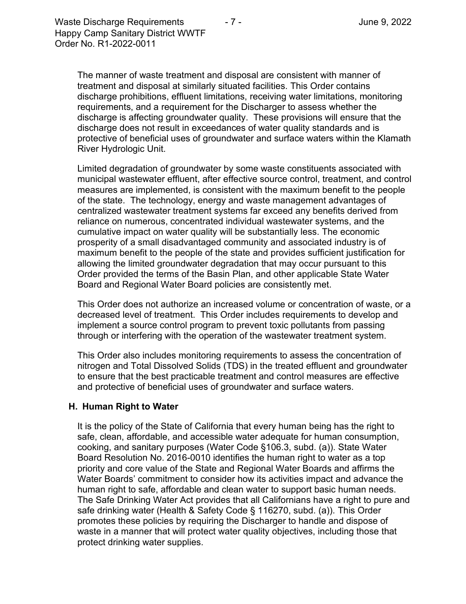The manner of waste treatment and disposal are consistent with manner of treatment and disposal at similarly situated facilities. This Order contains discharge prohibitions, effluent limitations, receiving water limitations, monitoring requirements, and a requirement for the Discharger to assess whether the discharge is affecting groundwater quality. These provisions will ensure that the discharge does not result in exceedances of water quality standards and is protective of beneficial uses of groundwater and surface waters within the Klamath River Hydrologic Unit.

Limited degradation of groundwater by some waste constituents associated with municipal wastewater effluent, after effective source control, treatment, and control measures are implemented, is consistent with the maximum benefit to the people of the state. The technology, energy and waste management advantages of centralized wastewater treatment systems far exceed any benefits derived from reliance on numerous, concentrated individual wastewater systems, and the cumulative impact on water quality will be substantially less. The economic prosperity of a small disadvantaged community and associated industry is of maximum benefit to the people of the state and provides sufficient justification for allowing the limited groundwater degradation that may occur pursuant to this Order provided the terms of the Basin Plan, and other applicable State Water Board and Regional Water Board policies are consistently met.

This Order does not authorize an increased volume or concentration of waste, or a decreased level of treatment. This Order includes requirements to develop and implement a source control program to prevent toxic pollutants from passing through or interfering with the operation of the wastewater treatment system.

This Order also includes monitoring requirements to assess the concentration of nitrogen and Total Dissolved Solids (TDS) in the treated effluent and groundwater to ensure that the best practicable treatment and control measures are effective and protective of beneficial uses of groundwater and surface waters.

#### **H. Human Right to Water**

It is the policy of the State of California that every human being has the right to safe, clean, affordable, and accessible water adequate for human consumption, cooking, and sanitary purposes (Water Code §106.3, subd. (a)). State Water Board Resolution No. 2016-0010 identifies the human right to water as a top priority and core value of the State and Regional Water Boards and affirms the Water Boards' commitment to consider how its activities impact and advance the human right to safe, affordable and clean water to support basic human needs. The Safe Drinking Water Act provides that all Californians have a right to pure and safe drinking water (Health & Safety Code § 116270, subd. (a)). This Order promotes these policies by requiring the Discharger to handle and dispose of waste in a manner that will protect water quality objectives, including those that protect drinking water supplies.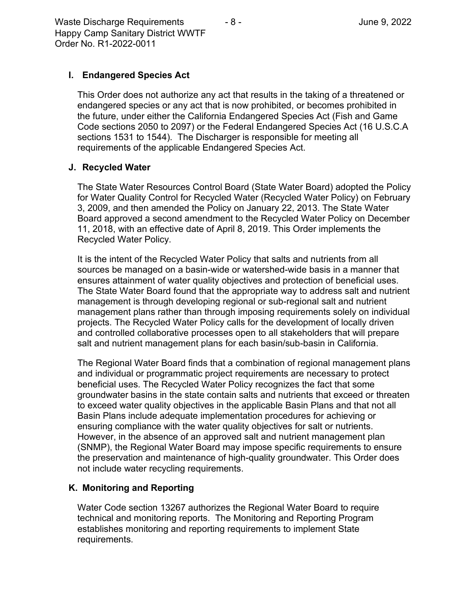Waste Discharge Requirements  $\overline{\phantom{1}}$  - 8 -  $\overline{\phantom{1}}$  -  $\overline{\phantom{1}}$  June 9, 2022 Happy Camp Sanitary District WWTF Order No. R1-2022-0011

## **I. Endangered Species Act**

This Order does not authorize any act that results in the taking of a threatened or endangered species or any act that is now prohibited, or becomes prohibited in the future, under either the California Endangered Species Act (Fish and Game Code sections 2050 to 2097) or the Federal Endangered Species Act (16 U.S.C.A sections 1531 to 1544). The Discharger is responsible for meeting all requirements of the applicable Endangered Species Act.

## **J. Recycled Water**

The State Water Resources Control Board (State Water Board) adopted the Policy for Water Quality Control for Recycled Water (Recycled Water Policy) on February 3, 2009, and then amended the Policy on January 22, 2013. The State Water Board approved a second amendment to the Recycled Water Policy on December 11, 2018, with an effective date of April 8, 2019. This Order implements the Recycled Water Policy.

It is the intent of the Recycled Water Policy that salts and nutrients from all sources be managed on a basin-wide or watershed-wide basis in a manner that ensures attainment of water quality objectives and protection of beneficial uses. The State Water Board found that the appropriate way to address salt and nutrient management is through developing regional or sub-regional salt and nutrient management plans rather than through imposing requirements solely on individual projects. The Recycled Water Policy calls for the development of locally driven and controlled collaborative processes open to all stakeholders that will prepare salt and nutrient management plans for each basin/sub-basin in California.

The Regional Water Board finds that a combination of regional management plans and individual or programmatic project requirements are necessary to protect beneficial uses. The Recycled Water Policy recognizes the fact that some groundwater basins in the state contain salts and nutrients that exceed or threaten to exceed water quality objectives in the applicable Basin Plans and that not all Basin Plans include adequate implementation procedures for achieving or ensuring compliance with the water quality objectives for salt or nutrients. However, in the absence of an approved salt and nutrient management plan (SNMP), the Regional Water Board may impose specific requirements to ensure the preservation and maintenance of high-quality groundwater. This Order does not include water recycling requirements.

## **K. Monitoring and Reporting**

Water Code section 13267 authorizes the Regional Water Board to require technical and monitoring reports. The Monitoring and Reporting Program establishes monitoring and reporting requirements to implement State requirements.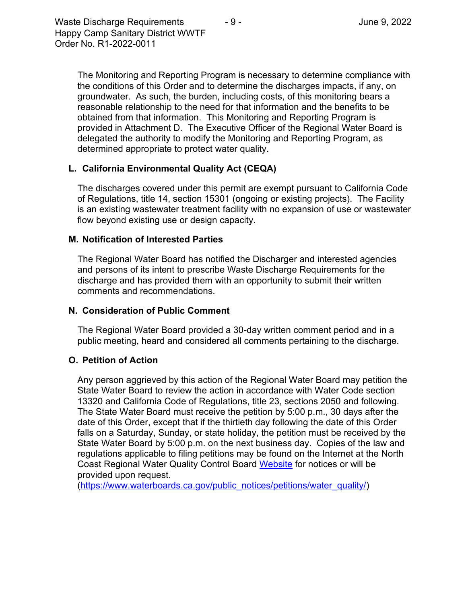The Monitoring and Reporting Program is necessary to determine compliance with the conditions of this Order and to determine the discharges impacts, if any, on groundwater. As such, the burden, including costs, of this monitoring bears a reasonable relationship to the need for that information and the benefits to be obtained from that information. This Monitoring and Reporting Program is provided in Attachment D. The Executive Officer of the Regional Water Board is delegated the authority to modify the Monitoring and Reporting Program, as determined appropriate to protect water quality.

## **L. California Environmental Quality Act (CEQA)**

The discharges covered under this permit are exempt pursuant to California Code of Regulations, title 14, section 15301 (ongoing or existing projects). The Facility is an existing wastewater treatment facility with no expansion of use or wastewater flow beyond existing use or design capacity.

## **M. Notification of Interested Parties**

The Regional Water Board has notified the Discharger and interested agencies and persons of its intent to prescribe Waste Discharge Requirements for the discharge and has provided them with an opportunity to submit their written comments and recommendations.

## **N. Consideration of Public Comment**

The Regional Water Board provided a 30-day written comment period and in a public meeting, heard and considered all comments pertaining to the discharge.

## **O. Petition of Action**

Any person aggrieved by this action of the Regional Water Board may petition the State Water Board to review the action in accordance with Water Code section 13320 and California Code of Regulations, title 23, sections 2050 and following. The State Water Board must receive the petition by 5:00 p.m., 30 days after the date of this Order, except that if the thirtieth day following the date of this Order falls on a Saturday, Sunday, or state holiday, the petition must be received by the State Water Board by 5:00 p.m. on the next business day. Copies of the law and regulations applicable to filing petitions may be found on the Internet at the North Coast Regional Water Quality Control Board [Website](https://www.waterboards.ca.gov/public_notices/petitions/water_quality/) for notices or will be provided upon request.

[\(https://www.waterboards.ca.gov/public\\_notices/petitions/water\\_quality/](https://www.waterboards.ca.gov/public_notices/petitions/water_quality/))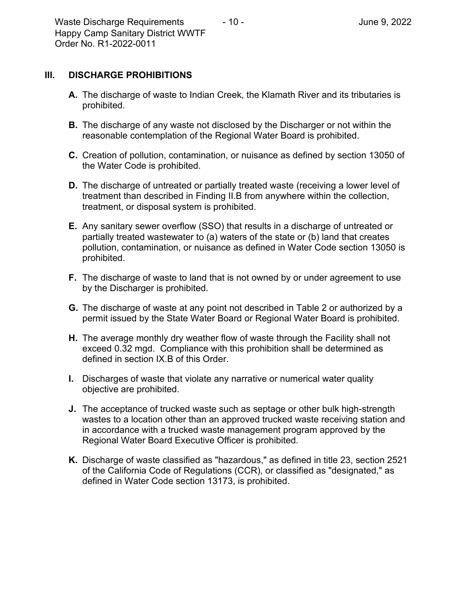#### **III. DISCHARGE PROHIBITIONS**

- **A.** The discharge of waste to Indian Creek, the Klamath River and its tributaries is prohibited.
- **B.** The discharge of any waste not disclosed by the Discharger or not within the reasonable contemplation of the Regional Water Board is prohibited.
- **C.** Creation of pollution, contamination, or nuisance as defined by section 13050 of the Water Code is prohibited.
- **D.** The discharge of untreated or partially treated waste (receiving a lower level of treatment than described in Finding II.B from anywhere within the collection, treatment, or disposal system is prohibited.
- **E.** Any sanitary sewer overflow (SSO) that results in a discharge of untreated or partially treated wastewater to (a) waters of the state or (b) land that creates pollution, contamination, or nuisance as defined in Water Code section 13050 is prohibited.
- **F.** The discharge of waste to land that is not owned by or under agreement to use by the Discharger is prohibited.
- **G.** The discharge of waste at any point not described in Table 2 or authorized by a permit issued by the State Water Board or Regional Water Board is prohibited.
- **H.** The average monthly dry weather flow of waste through the Facility shall not exceed 0.32 mgd. Compliance with this prohibition shall be determined as defined in section IX.B of this Order.
- **I.** Discharges of waste that violate any narrative or numerical water quality objective are prohibited.
- **J.** The acceptance of trucked waste such as septage or other bulk high-strength wastes to a location other than an approved trucked waste receiving station and in accordance with a trucked waste management program approved by the Regional Water Board Executive Officer is prohibited.
- **K.** Discharge of waste classified as "hazardous," as defined in title 23, section 2521 of the California Code of Regulations (CCR), or classified as "designated," as defined in Water Code section 13173, is prohibited.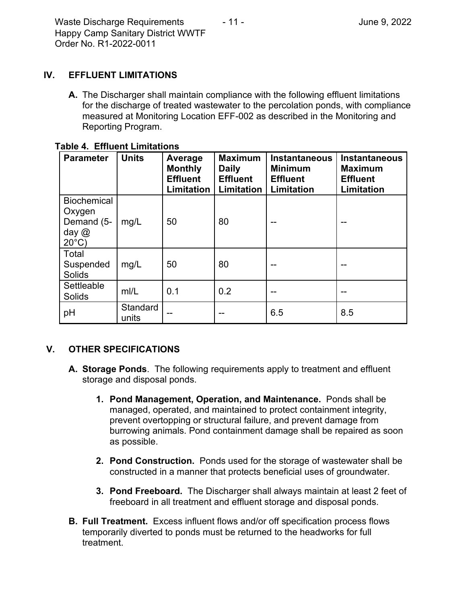Waste Discharge Requirements  $\frac{11 - 11 + 11}{11 - 11}$  June 9, 2022 Happy Camp Sanitary District WWTF Order No. R1-2022-0011

## **IV. EFFLUENT LIMITATIONS**

**A.** The Discharger shall maintain compliance with the following effluent limitations for the discharge of treated wastewater to the percolation ponds, with compliance measured at Monitoring Location EFF-002 as described in the Monitoring and Reporting Program.

| <b>Parameter</b>                                                              | <b>Units</b>      | Average<br><b>Monthly</b><br><b>Effluent</b><br>Limitation | <b>Maximum</b><br><b>Daily</b><br><b>Effluent</b><br>Limitation | <b>Instantaneous</b><br><b>Minimum</b><br><b>Effluent</b><br>Limitation | <b>Instantaneous</b><br><b>Maximum</b><br><b>Effluent</b><br>Limitation |
|-------------------------------------------------------------------------------|-------------------|------------------------------------------------------------|-----------------------------------------------------------------|-------------------------------------------------------------------------|-------------------------------------------------------------------------|
| <b>Biochemical</b><br>Oxygen<br>Demand (5-<br>day $\omega$<br>$20^{\circ}$ C) | mg/L              | 50                                                         | 80                                                              |                                                                         |                                                                         |
| Total<br>Suspended<br><b>Solids</b>                                           | mg/L              | 50                                                         | 80                                                              |                                                                         |                                                                         |
| Settleable<br><b>Solids</b>                                                   | m/L               | 0.1                                                        | 0.2                                                             | --                                                                      |                                                                         |
| pH                                                                            | Standard<br>units |                                                            | --                                                              | 6.5                                                                     | 8.5                                                                     |

#### **Table 4. Effluent Limitations**

## **V. OTHER SPECIFICATIONS**

- **A. Storage Ponds**. The following requirements apply to treatment and effluent storage and disposal ponds.
	- **1. Pond Management, Operation, and Maintenance.** Ponds shall be managed, operated, and maintained to protect containment integrity, prevent overtopping or structural failure, and prevent damage from burrowing animals. Pond containment damage shall be repaired as soon as possible.
	- **2. Pond Construction.** Ponds used for the storage of wastewater shall be constructed in a manner that protects beneficial uses of groundwater.
	- **3. Pond Freeboard.** The Discharger shall always maintain at least 2 feet of freeboard in all treatment and effluent storage and disposal ponds.
- **B. Full Treatment.** Excess influent flows and/or off specification process flows temporarily diverted to ponds must be returned to the headworks for full treatment.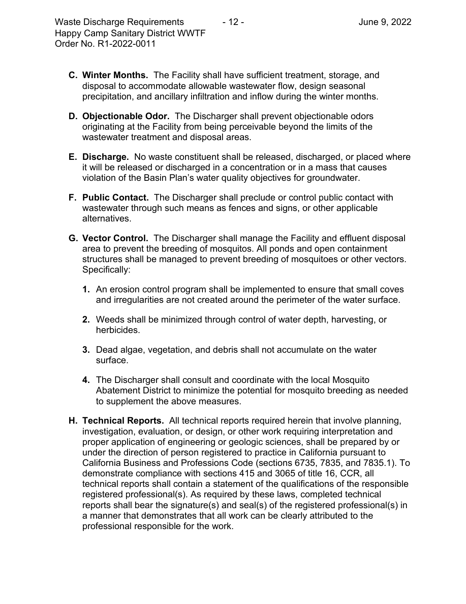- **C. Winter Months.** The Facility shall have sufficient treatment, storage, and disposal to accommodate allowable wastewater flow, design seasonal precipitation, and ancillary infiltration and inflow during the winter months.
- **D. Objectionable Odor.** The Discharger shall prevent objectionable odors originating at the Facility from being perceivable beyond the limits of the wastewater treatment and disposal areas.
- **E. Discharge.** No waste constituent shall be released, discharged, or placed where it will be released or discharged in a concentration or in a mass that causes violation of the Basin Plan's water quality objectives for groundwater.
- **F. Public Contact.** The Discharger shall preclude or control public contact with wastewater through such means as fences and signs, or other applicable alternatives.
- **G. Vector Control.** The Discharger shall manage the Facility and effluent disposal area to prevent the breeding of mosquitos. All ponds and open containment structures shall be managed to prevent breeding of mosquitoes or other vectors. Specifically:
	- **1.** An erosion control program shall be implemented to ensure that small coves and irregularities are not created around the perimeter of the water surface.
	- **2.** Weeds shall be minimized through control of water depth, harvesting, or herbicides.
	- **3.** Dead algae, vegetation, and debris shall not accumulate on the water surface.
	- **4.** The Discharger shall consult and coordinate with the local Mosquito Abatement District to minimize the potential for mosquito breeding as needed to supplement the above measures.
- **H. Technical Reports.** All technical reports required herein that involve planning, investigation, evaluation, or design, or other work requiring interpretation and proper application of engineering or geologic sciences, shall be prepared by or under the direction of person registered to practice in California pursuant to California Business and Professions Code (sections 6735, 7835, and 7835.1). To demonstrate compliance with sections 415 and 3065 of title 16, CCR, all technical reports shall contain a statement of the qualifications of the responsible registered professional(s). As required by these laws, completed technical reports shall bear the signature(s) and seal(s) of the registered professional(s) in a manner that demonstrates that all work can be clearly attributed to the professional responsible for the work.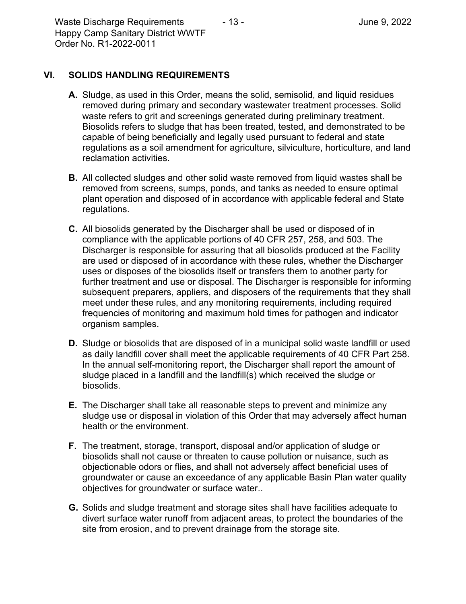Waste Discharge Requirements  $\frac{13 - 13 - 13}{13 - 13}$  June 9, 2022 Happy Camp Sanitary District WWTF Order No. R1-2022-0011

## **VI. SOLIDS HANDLING REQUIREMENTS**

- **A.** Sludge, as used in this Order, means the solid, semisolid, and liquid residues removed during primary and secondary wastewater treatment processes. Solid waste refers to grit and screenings generated during preliminary treatment. Biosolids refers to sludge that has been treated, tested, and demonstrated to be capable of being beneficially and legally used pursuant to federal and state regulations as a soil amendment for agriculture, silviculture, horticulture, and land reclamation activities.
- **B.** All collected sludges and other solid waste removed from liquid wastes shall be removed from screens, sumps, ponds, and tanks as needed to ensure optimal plant operation and disposed of in accordance with applicable federal and State regulations.
- **C.** All biosolids generated by the Discharger shall be used or disposed of in compliance with the applicable portions of 40 CFR 257, 258, and 503. The Discharger is responsible for assuring that all biosolids produced at the Facility are used or disposed of in accordance with these rules, whether the Discharger uses or disposes of the biosolids itself or transfers them to another party for further treatment and use or disposal. The Discharger is responsible for informing subsequent preparers, appliers, and disposers of the requirements that they shall meet under these rules, and any monitoring requirements, including required frequencies of monitoring and maximum hold times for pathogen and indicator organism samples.
- **D.** Sludge or biosolids that are disposed of in a municipal solid waste landfill or used as daily landfill cover shall meet the applicable requirements of 40 CFR Part 258. In the annual self-monitoring report, the Discharger shall report the amount of sludge placed in a landfill and the landfill(s) which received the sludge or biosolids.
- **E.** The Discharger shall take all reasonable steps to prevent and minimize any sludge use or disposal in violation of this Order that may adversely affect human health or the environment.
- **F.** The treatment, storage, transport, disposal and/or application of sludge or biosolids shall not cause or threaten to cause pollution or nuisance, such as objectionable odors or flies, and shall not adversely affect beneficial uses of groundwater or cause an exceedance of any applicable Basin Plan water quality objectives for groundwater or surface water..
- **G.** Solids and sludge treatment and storage sites shall have facilities adequate to divert surface water runoff from adjacent areas, to protect the boundaries of the site from erosion, and to prevent drainage from the storage site.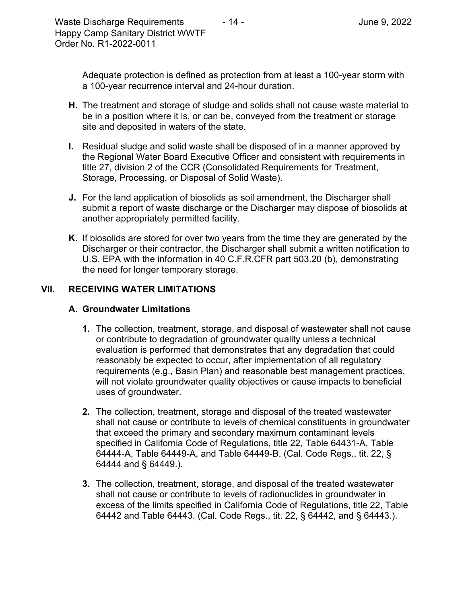Adequate protection is defined as protection from at least a 100-year storm with a 100-year recurrence interval and 24-hour duration.

- **H.** The treatment and storage of sludge and solids shall not cause waste material to be in a position where it is, or can be, conveyed from the treatment or storage site and deposited in waters of the state.
- **I.** Residual sludge and solid waste shall be disposed of in a manner approved by the Regional Water Board Executive Officer and consistent with requirements in title 27, division 2 of the CCR (Consolidated Requirements for Treatment, Storage, Processing, or Disposal of Solid Waste).
- **J.** For the land application of biosolids as soil amendment, the Discharger shall submit a report of waste discharge or the Discharger may dispose of biosolids at another appropriately permitted facility.
- **K.** If biosolids are stored for over two years from the time they are generated by the Discharger or their contractor, the Discharger shall submit a written notification to U.S. EPA with the information in 40 C.F.R.CFR part 503.20 (b), demonstrating the need for longer temporary storage.

## **VII. RECEIVING WATER LIMITATIONS**

## **A. Groundwater Limitations**

- **1.** The collection, treatment, storage, and disposal of wastewater shall not cause or contribute to degradation of groundwater quality unless a technical evaluation is performed that demonstrates that any degradation that could reasonably be expected to occur, after implementation of all regulatory requirements (e.g., Basin Plan) and reasonable best management practices, will not violate groundwater quality objectives or cause impacts to beneficial uses of groundwater.
- **2.** The collection, treatment, storage and disposal of the treated wastewater shall not cause or contribute to levels of chemical constituents in groundwater that exceed the primary and secondary maximum contaminant levels specified in California Code of Regulations, title 22, Table 64431-A, Table 64444-A, Table 64449-A, and Table 64449-B. (Cal. Code Regs., tit. 22, § 64444 and § 64449.).
- **3.** The collection, treatment, storage, and disposal of the treated wastewater shall not cause or contribute to levels of radionuclides in groundwater in excess of the limits specified in California Code of Regulations, title 22, Table 64442 and Table 64443. (Cal. Code Regs., tit. 22, § 64442, and § 64443.).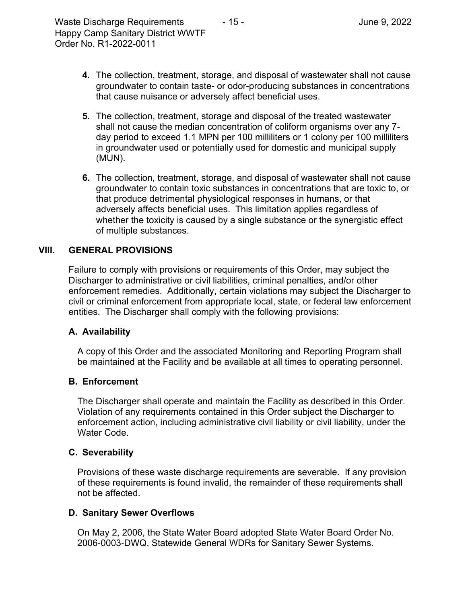- **4.** The collection, treatment, storage, and disposal of wastewater shall not cause groundwater to contain taste- or odor-producing substances in concentrations that cause nuisance or adversely affect beneficial uses.
- **5.** The collection, treatment, storage and disposal of the treated wastewater shall not cause the median concentration of coliform organisms over any 7 day period to exceed 1.1 MPN per 100 milliliters or 1 colony per 100 milliliters in groundwater used or potentially used for domestic and municipal supply (MUN).
- **6.** The collection, treatment, storage, and disposal of wastewater shall not cause groundwater to contain toxic substances in concentrations that are toxic to, or that produce detrimental physiological responses in humans, or that adversely affects beneficial uses. This limitation applies regardless of whether the toxicity is caused by a single substance or the synergistic effect of multiple substances.

## **VIII. GENERAL PROVISIONS**

Failure to comply with provisions or requirements of this Order, may subject the Discharger to administrative or civil liabilities, criminal penalties, and/or other enforcement remedies. Additionally, certain violations may subject the Discharger to civil or criminal enforcement from appropriate local, state, or federal law enforcement entities. The Discharger shall comply with the following provisions:

#### **A. Availability**

A copy of this Order and the associated Monitoring and Reporting Program shall be maintained at the Facility and be available at all times to operating personnel.

#### **B. Enforcement**

The Discharger shall operate and maintain the Facility as described in this Order. Violation of any requirements contained in this Order subject the Discharger to enforcement action, including administrative civil liability or civil liability, under the Water Code.

#### **C. Severability**

Provisions of these waste discharge requirements are severable. If any provision of these requirements is found invalid, the remainder of these requirements shall not be affected.

#### **D. Sanitary Sewer Overflows**

On May 2, 2006, the State Water Board adopted State Water Board Order No. 2006‐0003‐DWQ, Statewide General WDRs for Sanitary Sewer Systems.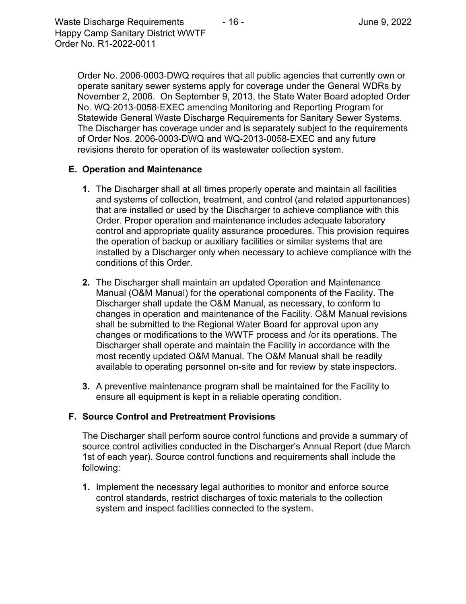Order No. 2006‐0003‐DWQ requires that all public agencies that currently own or operate sanitary sewer systems apply for coverage under the General WDRs by November 2, 2006. On September 9, 2013, the State Water Board adopted Order No. WQ‐2013‐0058‐EXEC amending Monitoring and Reporting Program for Statewide General Waste Discharge Requirements for Sanitary Sewer Systems. The Discharger has coverage under and is separately subject to the requirements of Order Nos. 2006‐0003‐DWQ and WQ‐2013‐0058‐EXEC and any future revisions thereto for operation of its wastewater collection system.

## **E. Operation and Maintenance**

- **1.** The Discharger shall at all times properly operate and maintain all facilities and systems of collection, treatment, and control (and related appurtenances) that are installed or used by the Discharger to achieve compliance with this Order. Proper operation and maintenance includes adequate laboratory control and appropriate quality assurance procedures. This provision requires the operation of backup or auxiliary facilities or similar systems that are installed by a Discharger only when necessary to achieve compliance with the conditions of this Order.
- **2.** The Discharger shall maintain an updated Operation and Maintenance Manual (O&M Manual) for the operational components of the Facility. The Discharger shall update the O&M Manual, as necessary, to conform to changes in operation and maintenance of the Facility. O&M Manual revisions shall be submitted to the Regional Water Board for approval upon any changes or modifications to the WWTF process and /or its operations. The Discharger shall operate and maintain the Facility in accordance with the most recently updated O&M Manual. The O&M Manual shall be readily available to operating personnel on-site and for review by state inspectors.
- **3.** A preventive maintenance program shall be maintained for the Facility to ensure all equipment is kept in a reliable operating condition.

## **F. Source Control and Pretreatment Provisions**

The Discharger shall perform source control functions and provide a summary of source control activities conducted in the Discharger's Annual Report (due March 1st of each year). Source control functions and requirements shall include the following:

**1.** Implement the necessary legal authorities to monitor and enforce source control standards, restrict discharges of toxic materials to the collection system and inspect facilities connected to the system.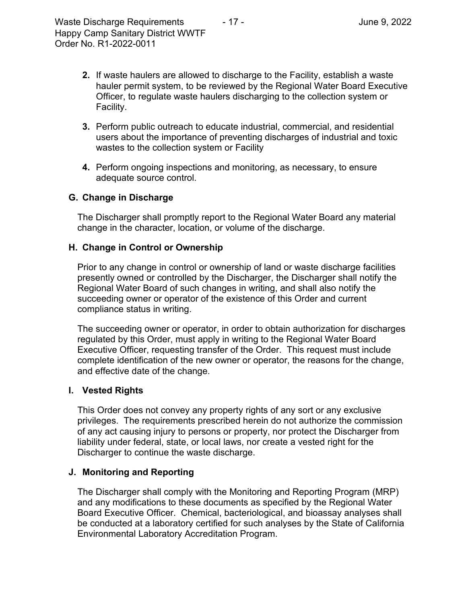- **2.** If waste haulers are allowed to discharge to the Facility, establish a waste hauler permit system, to be reviewed by the Regional Water Board Executive Officer, to regulate waste haulers discharging to the collection system or Facility.
- **3.** Perform public outreach to educate industrial, commercial, and residential users about the importance of preventing discharges of industrial and toxic wastes to the collection system or Facility
- **4.** Perform ongoing inspections and monitoring, as necessary, to ensure adequate source control.

## **G. Change in Discharge**

The Discharger shall promptly report to the Regional Water Board any material change in the character, location, or volume of the discharge.

## **H. Change in Control or Ownership**

Prior to any change in control or ownership of land or waste discharge facilities presently owned or controlled by the Discharger, the Discharger shall notify the Regional Water Board of such changes in writing, and shall also notify the succeeding owner or operator of the existence of this Order and current compliance status in writing.

The succeeding owner or operator, in order to obtain authorization for discharges regulated by this Order, must apply in writing to the Regional Water Board Executive Officer, requesting transfer of the Order. This request must include complete identification of the new owner or operator, the reasons for the change, and effective date of the change.

## **I. Vested Rights**

This Order does not convey any property rights of any sort or any exclusive privileges. The requirements prescribed herein do not authorize the commission of any act causing injury to persons or property, nor protect the Discharger from liability under federal, state, or local laws, nor create a vested right for the Discharger to continue the waste discharge.

## **J. Monitoring and Reporting**

The Discharger shall comply with the Monitoring and Reporting Program (MRP) and any modifications to these documents as specified by the Regional Water Board Executive Officer. Chemical, bacteriological, and bioassay analyses shall be conducted at a laboratory certified for such analyses by the State of California Environmental Laboratory Accreditation Program.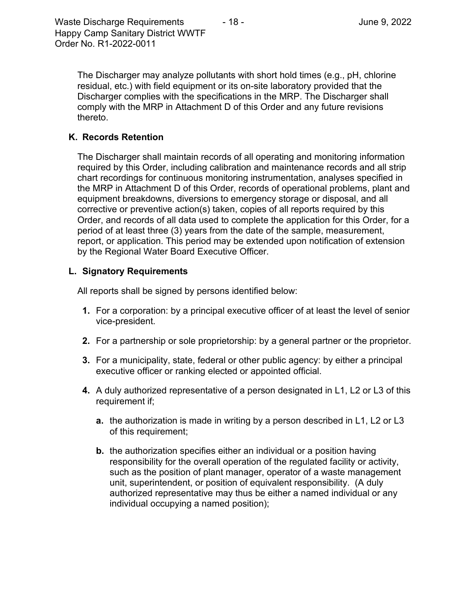The Discharger may analyze pollutants with short hold times (e.g., pH, chlorine residual, etc.) with field equipment or its on-site laboratory provided that the Discharger complies with the specifications in the MRP. The Discharger shall comply with the MRP in Attachment D of this Order and any future revisions thereto.

## **K. Records Retention**

The Discharger shall maintain records of all operating and monitoring information required by this Order, including calibration and maintenance records and all strip chart recordings for continuous monitoring instrumentation, analyses specified in the MRP in Attachment D of this Order, records of operational problems, plant and equipment breakdowns, diversions to emergency storage or disposal, and all corrective or preventive action(s) taken, copies of all reports required by this Order, and records of all data used to complete the application for this Order, for a period of at least three (3) years from the date of the sample, measurement, report, or application. This period may be extended upon notification of extension by the Regional Water Board Executive Officer.

## **L. Signatory Requirements**

All reports shall be signed by persons identified below:

- **1.** For a corporation: by a principal executive officer of at least the level of senior vice-president.
- **2.** For a partnership or sole proprietorship: by a general partner or the proprietor.
- **3.** For a municipality, state, federal or other public agency: by either a principal executive officer or ranking elected or appointed official.
- **4.** A duly authorized representative of a person designated in L1, L2 or L3 of this requirement if;
	- **a.** the authorization is made in writing by a person described in L1, L2 or L3 of this requirement;
	- **b.** the authorization specifies either an individual or a position having responsibility for the overall operation of the regulated facility or activity, such as the position of plant manager, operator of a waste management unit, superintendent, or position of equivalent responsibility. (A duly authorized representative may thus be either a named individual or any individual occupying a named position);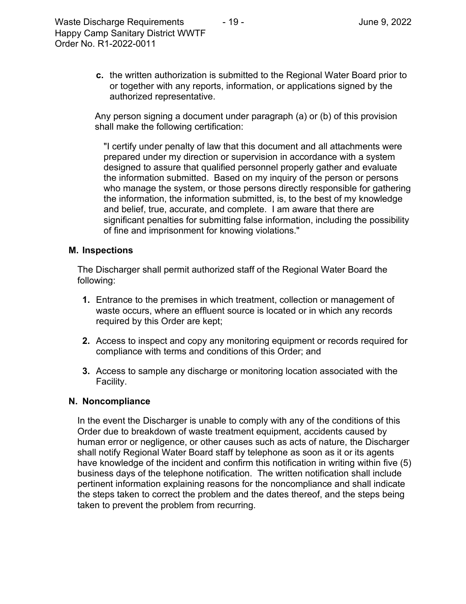**c.** the written authorization is submitted to the Regional Water Board prior to or together with any reports, information, or applications signed by the authorized representative.

Any person signing a document under paragraph (a) or (b) of this provision shall make the following certification:

"I certify under penalty of law that this document and all attachments were prepared under my direction or supervision in accordance with a system designed to assure that qualified personnel properly gather and evaluate the information submitted. Based on my inquiry of the person or persons who manage the system, or those persons directly responsible for gathering the information, the information submitted, is, to the best of my knowledge and belief, true, accurate, and complete. I am aware that there are significant penalties for submitting false information, including the possibility of fine and imprisonment for knowing violations."

#### **M. Inspections**

The Discharger shall permit authorized staff of the Regional Water Board the following:

- **1.** Entrance to the premises in which treatment, collection or management of waste occurs, where an effluent source is located or in which any records required by this Order are kept;
- **2.** Access to inspect and copy any monitoring equipment or records required for compliance with terms and conditions of this Order; and
- **3.** Access to sample any discharge or monitoring location associated with the Facility.

#### **N. Noncompliance**

In the event the Discharger is unable to comply with any of the conditions of this Order due to breakdown of waste treatment equipment, accidents caused by human error or negligence, or other causes such as acts of nature, the Discharger shall notify Regional Water Board staff by telephone as soon as it or its agents have knowledge of the incident and confirm this notification in writing within five (5) business days of the telephone notification. The written notification shall include pertinent information explaining reasons for the noncompliance and shall indicate the steps taken to correct the problem and the dates thereof, and the steps being taken to prevent the problem from recurring.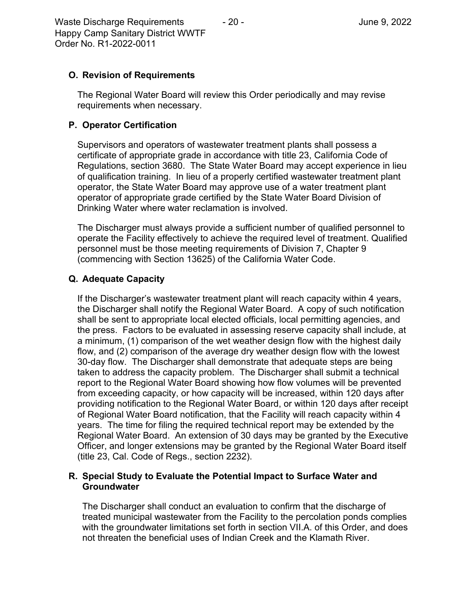Waste Discharge Requirements  $\frac{1}{20}$  - 20 -  $\frac{1}{20}$  -  $\frac{1}{2022}$ Happy Camp Sanitary District WWTF Order No. R1-2022-0011

## **O. Revision of Requirements**

The Regional Water Board will review this Order periodically and may revise requirements when necessary.

## **P. Operator Certification**

Supervisors and operators of wastewater treatment plants shall possess a certificate of appropriate grade in accordance with title 23, California Code of Regulations, section 3680. The State Water Board may accept experience in lieu of qualification training. In lieu of a properly certified wastewater treatment plant operator, the State Water Board may approve use of a water treatment plant operator of appropriate grade certified by the State Water Board Division of Drinking Water where water reclamation is involved.

The Discharger must always provide a sufficient number of qualified personnel to operate the Facility effectively to achieve the required level of treatment. Qualified personnel must be those meeting requirements of Division 7, Chapter 9 (commencing with Section 13625) of the California Water Code.

## **Q. Adequate Capacity**

If the Discharger's wastewater treatment plant will reach capacity within 4 years, the Discharger shall notify the Regional Water Board. A copy of such notification shall be sent to appropriate local elected officials, local permitting agencies, and the press. Factors to be evaluated in assessing reserve capacity shall include, at a minimum, (1) comparison of the wet weather design flow with the highest daily flow, and (2) comparison of the average dry weather design flow with the lowest 30-day flow. The Discharger shall demonstrate that adequate steps are being taken to address the capacity problem. The Discharger shall submit a technical report to the Regional Water Board showing how flow volumes will be prevented from exceeding capacity, or how capacity will be increased, within 120 days after providing notification to the Regional Water Board, or within 120 days after receipt of Regional Water Board notification, that the Facility will reach capacity within 4 years. The time for filing the required technical report may be extended by the Regional Water Board. An extension of 30 days may be granted by the Executive Officer, and longer extensions may be granted by the Regional Water Board itself (title 23, Cal. Code of Regs., section 2232).

## **R. Special Study to Evaluate the Potential Impact to Surface Water and Groundwater**

The Discharger shall conduct an evaluation to confirm that the discharge of treated municipal wastewater from the Facility to the percolation ponds complies with the groundwater limitations set forth in section VII.A. of this Order, and does not threaten the beneficial uses of Indian Creek and the Klamath River.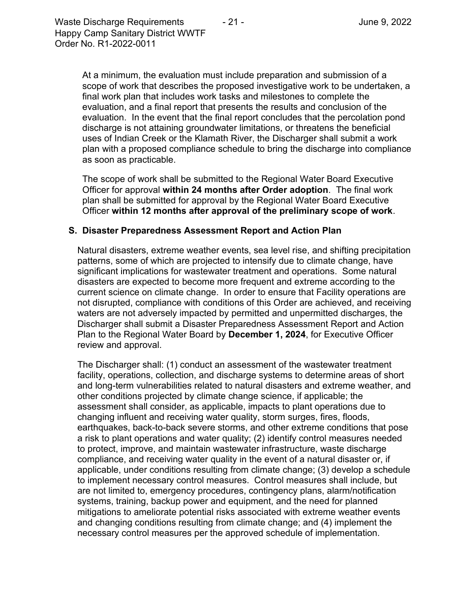At a minimum, the evaluation must include preparation and submission of a scope of work that describes the proposed investigative work to be undertaken, a final work plan that includes work tasks and milestones to complete the evaluation, and a final report that presents the results and conclusion of the evaluation. In the event that the final report concludes that the percolation pond discharge is not attaining groundwater limitations, or threatens the beneficial uses of Indian Creek or the Klamath River, the Discharger shall submit a work plan with a proposed compliance schedule to bring the discharge into compliance as soon as practicable.

The scope of work shall be submitted to the Regional Water Board Executive Officer for approval **within 24 months after Order adoption**. The final work plan shall be submitted for approval by the Regional Water Board Executive Officer **within 12 months after approval of the preliminary scope of work**.

#### **S. Disaster Preparedness Assessment Report and Action Plan**

Natural disasters, extreme weather events, sea level rise, and shifting precipitation patterns, some of which are projected to intensify due to climate change, have significant implications for wastewater treatment and operations. Some natural disasters are expected to become more frequent and extreme according to the current science on climate change. In order to ensure that Facility operations are not disrupted, compliance with conditions of this Order are achieved, and receiving waters are not adversely impacted by permitted and unpermitted discharges, the Discharger shall submit a Disaster Preparedness Assessment Report and Action Plan to the Regional Water Board by **December 1, 2024**, for Executive Officer review and approval.

The Discharger shall: (1) conduct an assessment of the wastewater treatment facility, operations, collection, and discharge systems to determine areas of short and long-term vulnerabilities related to natural disasters and extreme weather, and other conditions projected by climate change science, if applicable; the assessment shall consider, as applicable, impacts to plant operations due to changing influent and receiving water quality, storm surges, fires, floods, earthquakes, back-to-back severe storms, and other extreme conditions that pose a risk to plant operations and water quality; (2) identify control measures needed to protect, improve, and maintain wastewater infrastructure, waste discharge compliance, and receiving water quality in the event of a natural disaster or, if applicable, under conditions resulting from climate change; (3) develop a schedule to implement necessary control measures. Control measures shall include, but are not limited to, emergency procedures, contingency plans, alarm/notification systems, training, backup power and equipment, and the need for planned mitigations to ameliorate potential risks associated with extreme weather events and changing conditions resulting from climate change; and (4) implement the necessary control measures per the approved schedule of implementation.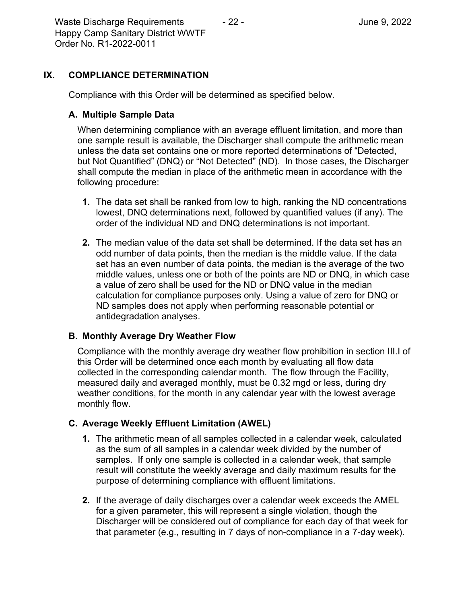Waste Discharge Requirements  $\frac{1}{2}$  - 22 -  $\frac{1}{2}$  -  $\frac{1}{2}$  June 9, 2022 Happy Camp Sanitary District WWTF Order No. R1-2022-0011

## **IX. COMPLIANCE DETERMINATION**

Compliance with this Order will be determined as specified below.

## **A. Multiple Sample Data**

When determining compliance with an average effluent limitation, and more than one sample result is available, the Discharger shall compute the arithmetic mean unless the data set contains one or more reported determinations of "Detected, but Not Quantified" (DNQ) or "Not Detected" (ND). In those cases, the Discharger shall compute the median in place of the arithmetic mean in accordance with the following procedure:

- **1.** The data set shall be ranked from low to high, ranking the ND concentrations lowest, DNQ determinations next, followed by quantified values (if any). The order of the individual ND and DNQ determinations is not important.
- **2.** The median value of the data set shall be determined. If the data set has an odd number of data points, then the median is the middle value. If the data set has an even number of data points, the median is the average of the two middle values, unless one or both of the points are ND or DNQ, in which case a value of zero shall be used for the ND or DNQ value in the median calculation for compliance purposes only. Using a value of zero for DNQ or ND samples does not apply when performing reasonable potential or antidegradation analyses.

## **B. Monthly Average Dry Weather Flow**

Compliance with the monthly average dry weather flow prohibition in section III.I of this Order will be determined once each month by evaluating all flow data collected in the corresponding calendar month. The flow through the Facility, measured daily and averaged monthly, must be 0.32 mgd or less, during dry weather conditions, for the month in any calendar year with the lowest average monthly flow.

## **C. Average Weekly Effluent Limitation (AWEL)**

- **1.** The arithmetic mean of all samples collected in a calendar week, calculated as the sum of all samples in a calendar week divided by the number of samples. If only one sample is collected in a calendar week, that sample result will constitute the weekly average and daily maximum results for the purpose of determining compliance with effluent limitations.
- **2.** If the average of daily discharges over a calendar week exceeds the AMEL for a given parameter, this will represent a single violation, though the Discharger will be considered out of compliance for each day of that week for that parameter (e.g., resulting in 7 days of non-compliance in a 7-day week).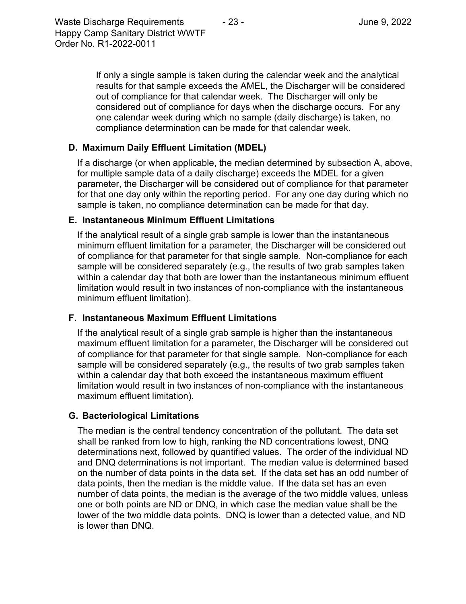If only a single sample is taken during the calendar week and the analytical results for that sample exceeds the AMEL, the Discharger will be considered out of compliance for that calendar week. The Discharger will only be considered out of compliance for days when the discharge occurs. For any one calendar week during which no sample (daily discharge) is taken, no compliance determination can be made for that calendar week.

## **D. Maximum Daily Effluent Limitation (MDEL)**

If a discharge (or when applicable, the median determined by subsection A, above, for multiple sample data of a daily discharge) exceeds the MDEL for a given parameter, the Discharger will be considered out of compliance for that parameter for that one day only within the reporting period. For any one day during which no sample is taken, no compliance determination can be made for that day.

## **E. Instantaneous Minimum Effluent Limitations**

If the analytical result of a single grab sample is lower than the instantaneous minimum effluent limitation for a parameter, the Discharger will be considered out of compliance for that parameter for that single sample. Non-compliance for each sample will be considered separately (e.g., the results of two grab samples taken within a calendar day that both are lower than the instantaneous minimum effluent limitation would result in two instances of non-compliance with the instantaneous minimum effluent limitation).

## **F. Instantaneous Maximum Effluent Limitations**

If the analytical result of a single grab sample is higher than the instantaneous maximum effluent limitation for a parameter, the Discharger will be considered out of compliance for that parameter for that single sample. Non-compliance for each sample will be considered separately (e.g., the results of two grab samples taken within a calendar day that both exceed the instantaneous maximum effluent limitation would result in two instances of non-compliance with the instantaneous maximum effluent limitation).

## **G. Bacteriological Limitations**

The median is the central tendency concentration of the pollutant. The data set shall be ranked from low to high, ranking the ND concentrations lowest, DNQ determinations next, followed by quantified values. The order of the individual ND and DNQ determinations is not important. The median value is determined based on the number of data points in the data set. If the data set has an odd number of data points, then the median is the middle value. If the data set has an even number of data points, the median is the average of the two middle values, unless one or both points are ND or DNQ, in which case the median value shall be the lower of the two middle data points. DNQ is lower than a detected value, and ND is lower than DNQ.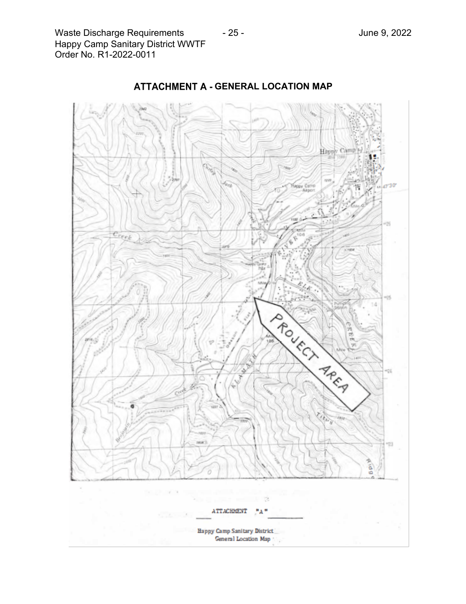Waste Discharge Requirements - 25 - The Society of the United States Discharge Requirements Happy Camp Sanitary District WWTF Order No. R1-2022-0011



## **ATTACHMENT A - GENERAL LOCATION MAP**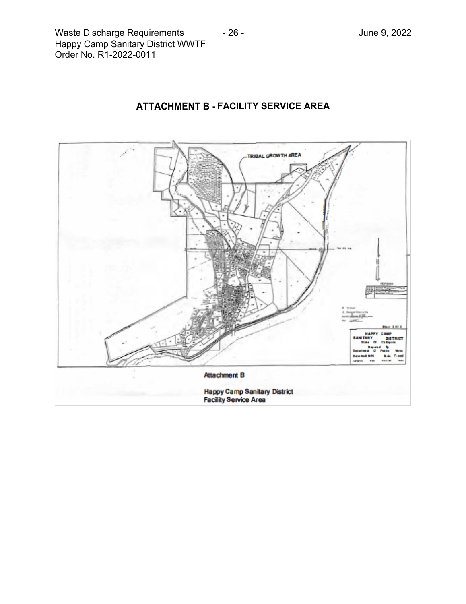## **ATTACHMENT B - FACILITY SERVICE AREA**

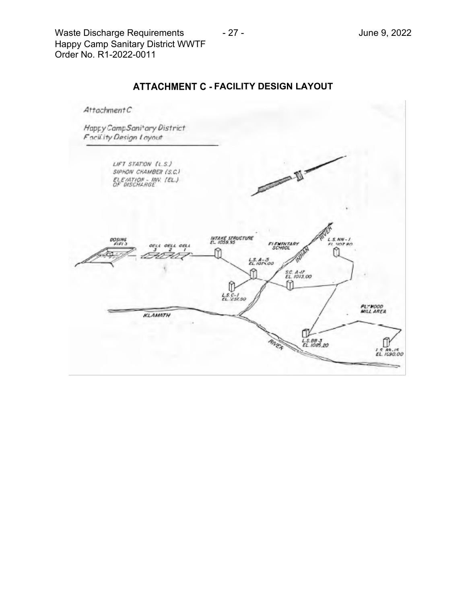

## **ATTACHMENT C - FACILITY DESIGN LAYOUT**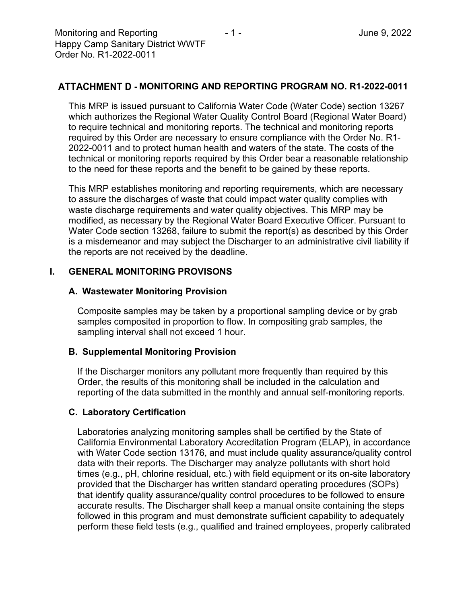## **MONITORING AND REPORTING PROGRAM NO. R1-2022-0011**

This MRP is issued pursuant to California Water Code (Water Code) section 13267 which authorizes the Regional Water Quality Control Board (Regional Water Board) to require technical and monitoring reports. The technical and monitoring reports required by this Order are necessary to ensure compliance with the Order No. R1- 2022-0011 and to protect human health and waters of the state. The costs of the technical or monitoring reports required by this Order bear a reasonable relationship to the need for these reports and the benefit to be gained by these reports.

This MRP establishes monitoring and reporting requirements, which are necessary to assure the discharges of waste that could impact water quality complies with waste discharge requirements and water quality objectives. This MRP may be modified, as necessary by the Regional Water Board Executive Officer. Pursuant to Water Code section 13268, failure to submit the report(s) as described by this Order is a misdemeanor and may subject the Discharger to an administrative civil liability if the reports are not received by the deadline.

## **I. GENERAL MONITORING PROVISONS**

#### **A. Wastewater Monitoring Provision**

Composite samples may be taken by a proportional sampling device or by grab samples composited in proportion to flow. In compositing grab samples, the sampling interval shall not exceed 1 hour.

## **B. Supplemental Monitoring Provision**

If the Discharger monitors any pollutant more frequently than required by this Order, the results of this monitoring shall be included in the calculation and reporting of the data submitted in the monthly and annual self-monitoring reports.

## **C. Laboratory Certification**

Laboratories analyzing monitoring samples shall be certified by the State of California Environmental Laboratory Accreditation Program (ELAP), in accordance with Water Code section 13176, and must include quality assurance/quality control data with their reports. The Discharger may analyze pollutants with short hold times (e.g., pH, chlorine residual, etc.) with field equipment or its on-site laboratory provided that the Discharger has written standard operating procedures (SOPs) that identify quality assurance/quality control procedures to be followed to ensure accurate results. The Discharger shall keep a manual onsite containing the steps followed in this program and must demonstrate sufficient capability to adequately perform these field tests (e.g., qualified and trained employees, properly calibrated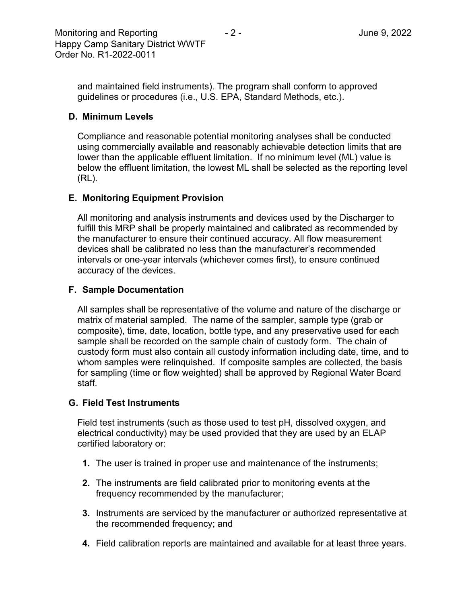and maintained field instruments). The program shall conform to approved guidelines or procedures (i.e., U.S. EPA, Standard Methods, etc.).

## **D. Minimum Levels**

Compliance and reasonable potential monitoring analyses shall be conducted using commercially available and reasonably achievable detection limits that are lower than the applicable effluent limitation. If no minimum level (ML) value is below the effluent limitation, the lowest ML shall be selected as the reporting level (RL).

## **E. Monitoring Equipment Provision**

All monitoring and analysis instruments and devices used by the Discharger to fulfill this MRP shall be properly maintained and calibrated as recommended by the manufacturer to ensure their continued accuracy. All flow measurement devices shall be calibrated no less than the manufacturer's recommended intervals or one-year intervals (whichever comes first), to ensure continued accuracy of the devices.

## **F. Sample Documentation**

All samples shall be representative of the volume and nature of the discharge or matrix of material sampled. The name of the sampler, sample type (grab or composite), time, date, location, bottle type, and any preservative used for each sample shall be recorded on the sample chain of custody form. The chain of custody form must also contain all custody information including date, time, and to whom samples were relinquished. If composite samples are collected, the basis for sampling (time or flow weighted) shall be approved by Regional Water Board staff.

## **G. Field Test Instruments**

Field test instruments (such as those used to test pH, dissolved oxygen, and electrical conductivity) may be used provided that they are used by an ELAP certified laboratory or:

- **1.** The user is trained in proper use and maintenance of the instruments;
- **2.** The instruments are field calibrated prior to monitoring events at the frequency recommended by the manufacturer;
- **3.** Instruments are serviced by the manufacturer or authorized representative at the recommended frequency; and
- **4.** Field calibration reports are maintained and available for at least three years.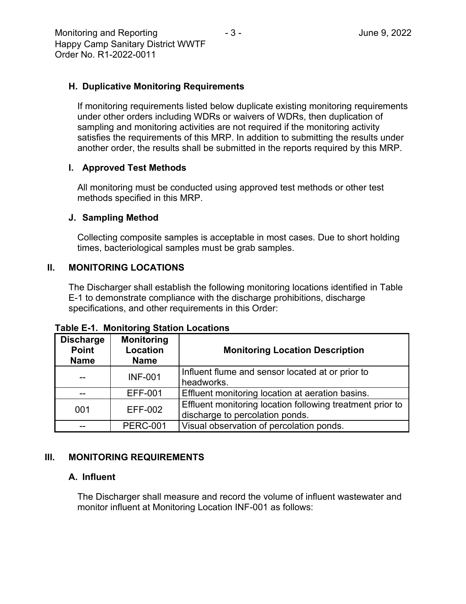## **H. Duplicative Monitoring Requirements**

If monitoring requirements listed below duplicate existing monitoring requirements under other orders including WDRs or waivers of WDRs, then duplication of sampling and monitoring activities are not required if the monitoring activity satisfies the requirements of this MRP. In addition to submitting the results under another order, the results shall be submitted in the reports required by this MRP.

## **I. Approved Test Methods**

All monitoring must be conducted using approved test methods or other test methods specified in this MRP.

## **J. Sampling Method**

Collecting composite samples is acceptable in most cases. Due to short holding times, bacteriological samples must be grab samples.

## **II. MONITORING LOCATIONS**

The Discharger shall establish the following monitoring locations identified in Table E-1 to demonstrate compliance with the discharge prohibitions, discharge specifications, and other requirements in this Order:

| <b>Discharge</b><br><b>Point</b><br><b>Name</b> | <b>Monitoring</b><br>Location<br><b>Name</b> | <b>Monitoring Location Description</b>                                                       |
|-------------------------------------------------|----------------------------------------------|----------------------------------------------------------------------------------------------|
|                                                 | <b>INF-001</b>                               | Influent flume and sensor located at or prior to<br>headworks.                               |
|                                                 | <b>EFF-001</b>                               | Effluent monitoring location at aeration basins.                                             |
| 001                                             | EFF-002                                      | Effluent monitoring location following treatment prior to<br>discharge to percolation ponds. |
|                                                 | <b>PERC-001</b>                              | Visual observation of percolation ponds.                                                     |

## **Table E-1. Monitoring Station Locations**

## **III. MONITORING REQUIREMENTS**

## **A. Influent**

The Discharger shall measure and record the volume of influent wastewater and monitor influent at Monitoring Location INF-001 as follows: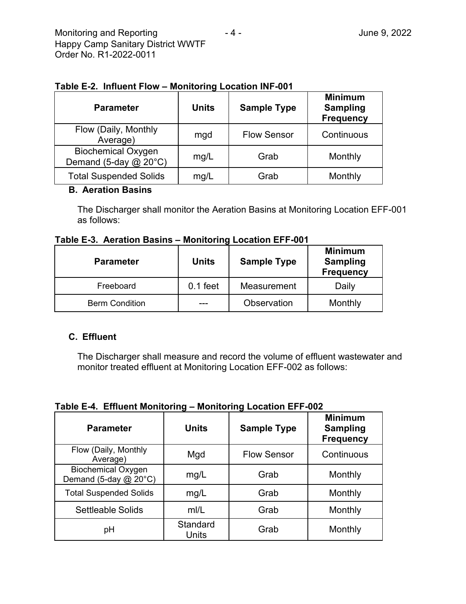|  |  |  | Table E-2. Influent Flow - Monitoring Location INF-001 |
|--|--|--|--------------------------------------------------------|
|--|--|--|--------------------------------------------------------|

| <b>Parameter</b>                                         | <b>Units</b> | <b>Sample Type</b> | <b>Minimum</b><br><b>Sampling</b><br><b>Frequency</b> |
|----------------------------------------------------------|--------------|--------------------|-------------------------------------------------------|
| Flow (Daily, Monthly<br>Average)                         | mgd          | <b>Flow Sensor</b> | Continuous                                            |
| <b>Biochemical Oxygen</b><br>Demand (5-day $@$ 20 $°C$ ) | mg/L         | Grab               | Monthly                                               |
| <b>Total Suspended Solids</b>                            | mg/L         | Grab               | Monthly                                               |

## **B. Aeration Basins**

The Discharger shall monitor the Aeration Basins at Monitoring Location EFF-001 as follows:

| <b>Parameter</b>      | <b>Units</b> | <b>Sample Type</b> | <b>Minimum</b><br><b>Sampling</b><br><b>Frequency</b> |
|-----------------------|--------------|--------------------|-------------------------------------------------------|
| Freeboard             | $0.1$ feet   | Measurement        | Daily                                                 |
| <b>Berm Condition</b> | ---          | Observation        | Monthly                                               |

#### **C. Effluent**

The Discharger shall measure and record the volume of effluent wastewater and monitor treated effluent at Monitoring Location EFF-002 as follows:

| <b>Parameter</b>                                         | <b>Units</b>      | <b>Sample Type</b> | <b>Minimum</b><br><b>Sampling</b><br><b>Frequency</b> |
|----------------------------------------------------------|-------------------|--------------------|-------------------------------------------------------|
| Flow (Daily, Monthly<br>Average)                         | Mgd               | <b>Flow Sensor</b> | Continuous                                            |
| <b>Biochemical Oxygen</b><br>Demand (5-day $@$ 20 $°C$ ) | mg/L              | Grab               | Monthly                                               |
| <b>Total Suspended Solids</b>                            | mg/L              | Grab               | Monthly                                               |
| <b>Settleable Solids</b>                                 | m/L               | Grab               | Monthly                                               |
| pH                                                       | Standard<br>Units | Grab               | Monthly                                               |

**Table E-4. Effluent Monitoring – Monitoring Location EFF-002**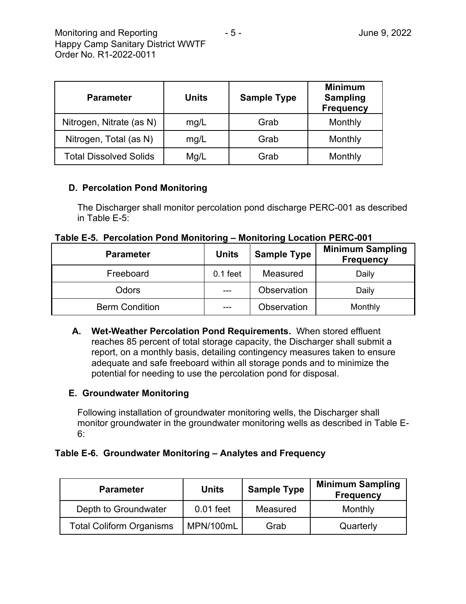| <b>Parameter</b>              | <b>Units</b> | <b>Sample Type</b> | <b>Minimum</b><br><b>Sampling</b><br><b>Frequency</b> |
|-------------------------------|--------------|--------------------|-------------------------------------------------------|
| Nitrogen, Nitrate (as N)      | mg/L         | Grab               | Monthly                                               |
| Nitrogen, Total (as N)        | mg/L         | Grab               | Monthly                                               |
| <b>Total Dissolved Solids</b> | Mg/L         | Grab               | Monthly                                               |

## **D. Percolation Pond Monitoring**

The Discharger shall monitor percolation pond discharge PERC-001 as described in Table E-5:

|  |  | Table E-5. Percolation Pond Monitoring - Monitoring Location PERC-001 |
|--|--|-----------------------------------------------------------------------|
|  |  |                                                                       |

| <b>Parameter</b>      | <b>Units</b> | <b>Sample Type</b> | <b>Minimum Sampling</b><br><b>Frequency</b> |
|-----------------------|--------------|--------------------|---------------------------------------------|
| Freeboard             | $0.1$ feet   | Measured           | Daily                                       |
| Odors                 | ---          | <b>Observation</b> | Daily                                       |
| <b>Berm Condition</b> | ---          | Observation        | Monthly                                     |

**A. Wet-Weather Percolation Pond Requirements.** When stored effluent reaches 85 percent of total storage capacity, the Discharger shall submit a report, on a monthly basis, detailing contingency measures taken to ensure adequate and safe freeboard within all storage ponds and to minimize the potential for needing to use the percolation pond for disposal.

## **E. Groundwater Monitoring**

Following installation of groundwater monitoring wells, the Discharger shall monitor groundwater in the groundwater monitoring wells as described in Table E-6:

## **Table E-6. Groundwater Monitoring – Analytes and Frequency**

| <b>Parameter</b>                | <b>Units</b> | <b>Sample Type</b> | <b>Minimum Sampling</b><br><b>Frequency</b> |
|---------------------------------|--------------|--------------------|---------------------------------------------|
| Depth to Groundwater            | $0.01$ feet  | Measured           | Monthly                                     |
| <b>Total Coliform Organisms</b> | MPN/100mL    | Grab               | Quarterly                                   |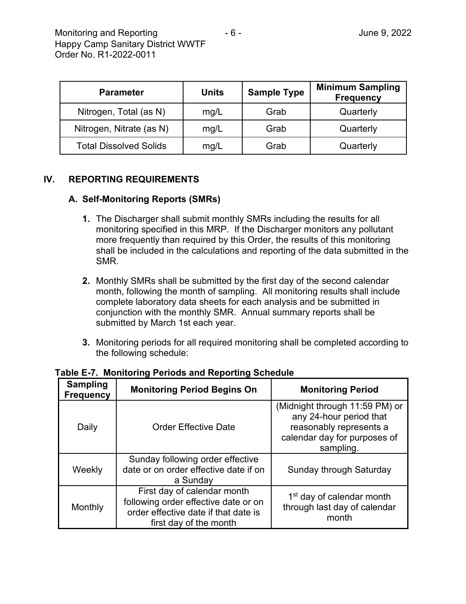| <b>Parameter</b>              | <b>Units</b> | <b>Sample Type</b> | <b>Minimum Sampling</b><br><b>Frequency</b> |
|-------------------------------|--------------|--------------------|---------------------------------------------|
| Nitrogen, Total (as N)        | mg/L         | Grab               | Quarterly                                   |
| Nitrogen, Nitrate (as N)      | mg/L         | Grab               | Quarterly                                   |
| <b>Total Dissolved Solids</b> | mg/L         | Grab               | Quarterly                                   |

## **IV. REPORTING REQUIREMENTS**

## **A. Self-Monitoring Reports (SMRs)**

- **1.** The Discharger shall submit monthly SMRs including the results for all monitoring specified in this MRP. If the Discharger monitors any pollutant more frequently than required by this Order, the results of this monitoring shall be included in the calculations and reporting of the data submitted in the SMR.
- **2.** Monthly SMRs shall be submitted by the first day of the second calendar month, following the month of sampling. All monitoring results shall include complete laboratory data sheets for each analysis and be submitted in conjunction with the monthly SMR. Annual summary reports shall be submitted by March 1st each year.
- **3.** Monitoring periods for all required monitoring shall be completed according to the following schedule:

| <b>Sampling</b><br><b>Frequency</b> | <b>Monitoring Period Begins On</b>                                                                                                    | <b>Monitoring Period</b>                                                                                                          |
|-------------------------------------|---------------------------------------------------------------------------------------------------------------------------------------|-----------------------------------------------------------------------------------------------------------------------------------|
| Daily                               | <b>Order Effective Date</b>                                                                                                           | (Midnight through 11:59 PM) or<br>any 24-hour period that<br>reasonably represents a<br>calendar day for purposes of<br>sampling. |
| Weekly                              | Sunday following order effective<br>date or on order effective date if on<br>a Sunday                                                 | Sunday through Saturday                                                                                                           |
| Monthly                             | First day of calendar month<br>following order effective date or on<br>order effective date if that date is<br>first day of the month | 1 <sup>st</sup> day of calendar month<br>through last day of calendar<br>month                                                    |

**Table E-7. Monitoring Periods and Reporting Schedule**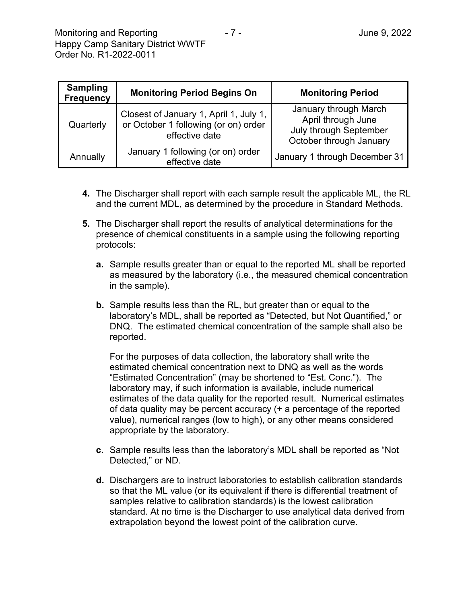| <b>Sampling</b><br><b>Frequency</b> | <b>Monitoring Period Begins On</b>                                                               | <b>Monitoring Period</b>                                                                         |
|-------------------------------------|--------------------------------------------------------------------------------------------------|--------------------------------------------------------------------------------------------------|
| Quarterly                           | Closest of January 1, April 1, July 1,<br>or October 1 following (or on) order<br>effective date | January through March<br>April through June<br>July through September<br>October through January |
| Annually                            | January 1 following (or on) order<br>effective date                                              | January 1 through December 31                                                                    |

- **4.** The Discharger shall report with each sample result the applicable ML, the RL and the current MDL, as determined by the procedure in Standard Methods.
- **5.** The Discharger shall report the results of analytical determinations for the presence of chemical constituents in a sample using the following reporting protocols:
	- **a.** Sample results greater than or equal to the reported ML shall be reported as measured by the laboratory (i.e., the measured chemical concentration in the sample).
	- **b.** Sample results less than the RL, but greater than or equal to the laboratory's MDL, shall be reported as "Detected, but Not Quantified," or DNQ. The estimated chemical concentration of the sample shall also be reported.

For the purposes of data collection, the laboratory shall write the estimated chemical concentration next to DNQ as well as the words "Estimated Concentration" (may be shortened to "Est. Conc."). The laboratory may, if such information is available, include numerical estimates of the data quality for the reported result. Numerical estimates of data quality may be percent accuracy (+ a percentage of the reported value), numerical ranges (low to high), or any other means considered appropriate by the laboratory.

- **c.** Sample results less than the laboratory's MDL shall be reported as "Not Detected," or ND.
- **d.** Dischargers are to instruct laboratories to establish calibration standards so that the ML value (or its equivalent if there is differential treatment of samples relative to calibration standards) is the lowest calibration standard. At no time is the Discharger to use analytical data derived from extrapolation beyond the lowest point of the calibration curve.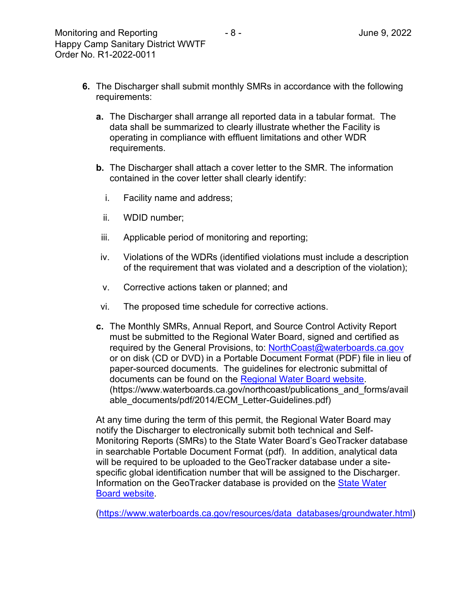- **6.** The Discharger shall submit monthly SMRs in accordance with the following requirements:
	- **a.** The Discharger shall arrange all reported data in a tabular format. The data shall be summarized to clearly illustrate whether the Facility is operating in compliance with effluent limitations and other WDR requirements.
	- **b.** The Discharger shall attach a cover letter to the SMR. The information contained in the cover letter shall clearly identify:
		- i. Facility name and address;
		- ii. WDID number;
		- iii. Applicable period of monitoring and reporting;
	- iv. Violations of the WDRs (identified violations must include a description of the requirement that was violated and a description of the violation);
	- v. Corrective actions taken or planned; and
	- vi. The proposed time schedule for corrective actions.
	- **c.** The Monthly SMRs, Annual Report, and Source Control Activity Report must be submitted to the Regional Water Board, signed and certified as required by the General Provisions, to: NorthCoast@waterboards.ca.gov or on disk (CD or DVD) in a Portable Document Format (PDF) file in lieu of paper-sourced documents. The guidelines for electronic submittal of documents can be found on the [Regional Water Board website](https://www.waterboards.ca.gov/northcoast/publications_and_forms/available_documents/pdf/2014/ECM_Letter-Guidelines.pdf). (https://www.waterboards.ca.gov/northcoast/publications\_and\_forms/avail able\_documents/pdf/2014/ECM\_Letter-Guidelines.pdf)

At any time during the term of this permit, the Regional Water Board may notify the Discharger to electronically submit both technical and Self-Monitoring Reports (SMRs) to the State Water Board's GeoTracker database in searchable Portable Document Format (pdf). In addition, analytical data will be required to be uploaded to the GeoTracker database under a sitespecific global identification number that will be assigned to the Discharger. Information on the GeoTracker database is provided on the State Water [Board website](https://www.waterboards.ca.gov/resources/data_databases/groundwater.html).

([https://www.waterboards.ca.gov/resources/data\\_databases/groundwater.html\)](https://www.waterboards.ca.gov/resources/data_databases/groundwater.html)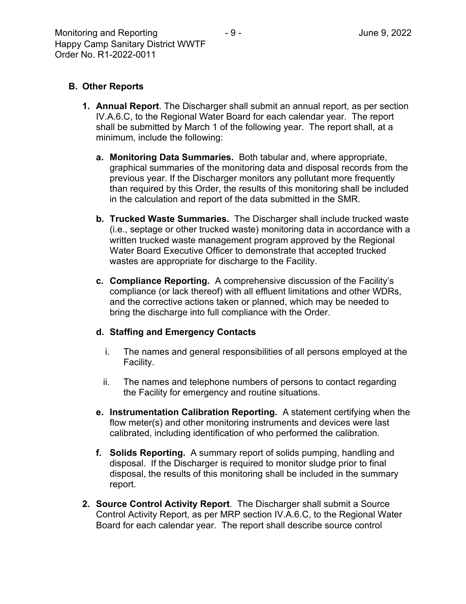- **1. Annual Report**. The Discharger shall submit an annual report, as per section IV.A.6.C, to the Regional Water Board for each calendar year. The report shall be submitted by March 1 of the following year. The report shall, at a minimum, include the following:
	- **a. Monitoring Data Summaries.** Both tabular and, where appropriate, graphical summaries of the monitoring data and disposal records from the previous year. If the Discharger monitors any pollutant more frequently than required by this Order, the results of this monitoring shall be included in the calculation and report of the data submitted in the SMR.
	- **b. Trucked Waste Summaries.** The Discharger shall include trucked waste (i.e., septage or other trucked waste) monitoring data in accordance with a written trucked waste management program approved by the Regional Water Board Executive Officer to demonstrate that accepted trucked wastes are appropriate for discharge to the Facility.
	- **c. Compliance Reporting.** A comprehensive discussion of the Facility's compliance (or lack thereof) with all effluent limitations and other WDRs, and the corrective actions taken or planned, which may be needed to bring the discharge into full compliance with the Order.

## **d. Staffing and Emergency Contacts**

- i. The names and general responsibilities of all persons employed at the Facility.
- ii. The names and telephone numbers of persons to contact regarding the Facility for emergency and routine situations.
- **e. Instrumentation Calibration Reporting.** A statement certifying when the flow meter(s) and other monitoring instruments and devices were last calibrated, including identification of who performed the calibration.
- **f. Solids Reporting.** A summary report of solids pumping, handling and disposal. If the Discharger is required to monitor sludge prior to final disposal, the results of this monitoring shall be included in the summary report.
- **2. Source Control Activity Report**. The Discharger shall submit a Source Control Activity Report, as per MRP section IV.A.6.C, to the Regional Water Board for each calendar year. The report shall describe source control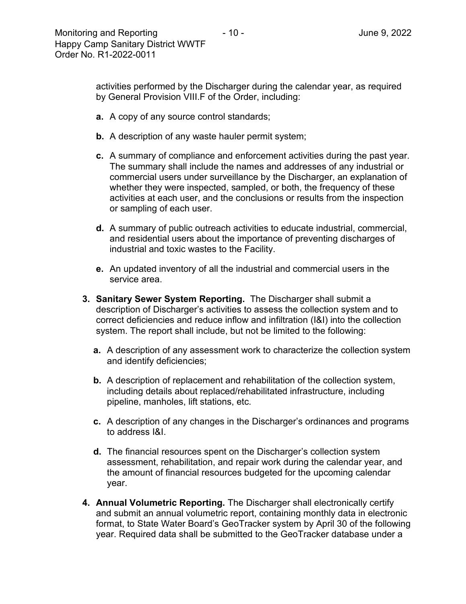activities performed by the Discharger during the calendar year, as required by General Provision VIII.F of the Order, including:

- **a.** A copy of any source control standards;
- **b.** A description of any waste hauler permit system;
- **c.** A summary of compliance and enforcement activities during the past year. The summary shall include the names and addresses of any industrial or commercial users under surveillance by the Discharger, an explanation of whether they were inspected, sampled, or both, the frequency of these activities at each user, and the conclusions or results from the inspection or sampling of each user.
- **d.** A summary of public outreach activities to educate industrial, commercial, and residential users about the importance of preventing discharges of industrial and toxic wastes to the Facility.
- **e.** An updated inventory of all the industrial and commercial users in the service area.
- **3. Sanitary Sewer System Reporting.** The Discharger shall submit a description of Discharger's activities to assess the collection system and to correct deficiencies and reduce inflow and infiltration (I&I) into the collection system. The report shall include, but not be limited to the following:
	- **a.** A description of any assessment work to characterize the collection system and identify deficiencies;
	- **b.** A description of replacement and rehabilitation of the collection system, including details about replaced/rehabilitated infrastructure, including pipeline, manholes, lift stations, etc.
	- **c.** A description of any changes in the Discharger's ordinances and programs to address  $\mathsf{I}\&\mathsf{I}$
	- **d.** The financial resources spent on the Discharger's collection system assessment, rehabilitation, and repair work during the calendar year, and the amount of financial resources budgeted for the upcoming calendar year.
- **4. Annual Volumetric Reporting.** The Discharger shall electronically certify and submit an annual volumetric report, containing monthly data in electronic format, to State Water Board's GeoTracker system by April 30 of the following year. Required data shall be submitted to the GeoTracker database under a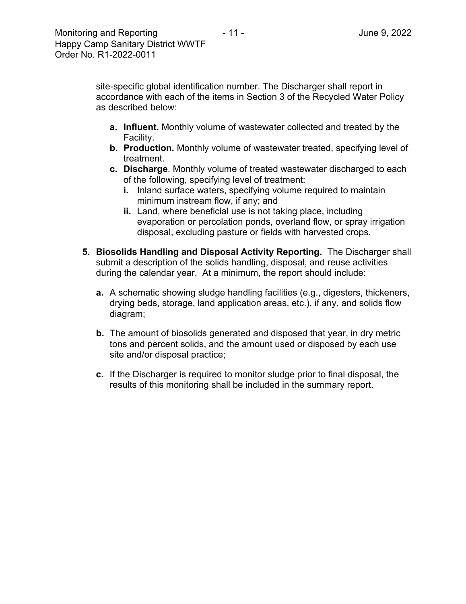- **a. Influent.** Monthly volume of wastewater collected and treated by the Facility.
- **b. Production.** Monthly volume of wastewater treated, specifying level of treatment.
- **c. Discharge**. Monthly volume of treated wastewater discharged to each of the following, specifying level of treatment:
	- **i.** Inland surface waters, specifying volume required to maintain minimum instream flow, if any; and
	- **ii.** Land, where beneficial use is not taking place, including evaporation or percolation ponds, overland flow, or spray irrigation disposal, excluding pasture or fields with harvested crops.
- **5. Biosolids Handling and Disposal Activity Reporting.** The Discharger shall submit a description of the solids handling, disposal, and reuse activities during the calendar year. At a minimum, the report should include:
	- **a.** A schematic showing sludge handling facilities (e.g., digesters, thickeners, drying beds, storage, land application areas, etc.), if any, and solids flow diagram;
	- **b.** The amount of biosolids generated and disposed that year, in dry metric tons and percent solids, and the amount used or disposed by each use site and/or disposal practice;
	- **c.** If the Discharger is required to monitor sludge prior to final disposal, the results of this monitoring shall be included in the summary report.